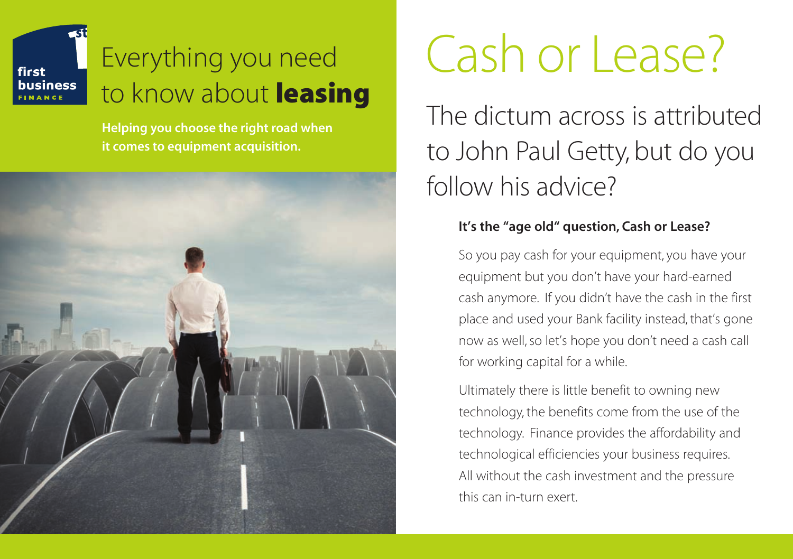## Everything you need to know about **leasing**

first business

> **Helping you choose the right road when it comes to equipment acquisition.**



# Cash or Lease?

The dictum across is attributed to John Paul Getty, but do you follow his advice?

#### **It's the "age old" question, Cash or Lease?**

So you pay cash for your equipment, you have your equipment but you don't have your hard-earned cash anymore. If you didn't have the cash in the first place and used your Bank facility instead, that's gone now as well, so let's hope you don't need a cash call for working capital for a while.

Ultimately there is little benefit to owning new technology, the benefits come from the use of the technology. Finance provides the affordability and technological efficiencies your business requires. All without the cash investment and the pressure this can in-turn exert.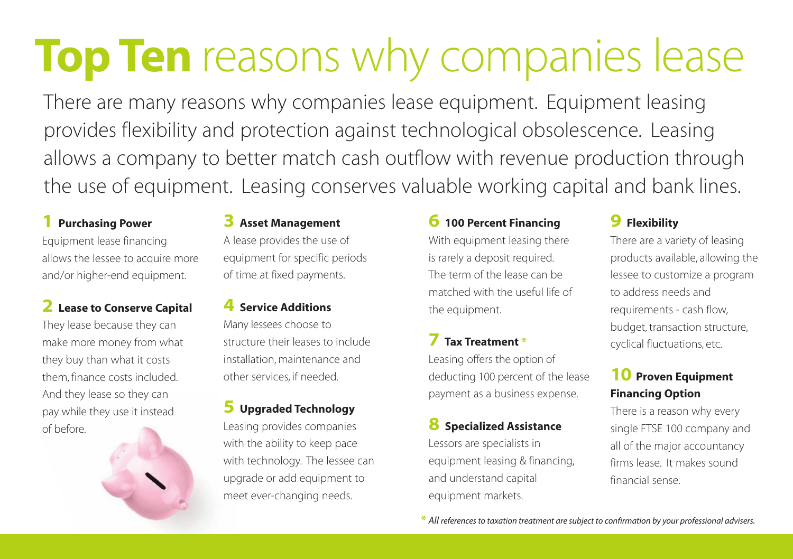## **Top Ten** reasons why companies lease

There are many reasons why companies lease equipment. Equipment leasing provides flexibility and protection against technological obsolescence. Leasing allows a company to better match cash outflow with revenue production through the use of equipment. Leasing conserves valuable working capital and bank lines.

#### **1 Purchasing Power**

Equipment lease financing allows the lessee to acquire more and/or higher-end equipment.

#### **2 Lease to Conserve Capital**

They lease because they can make more money from what they buy than what it costs them, finance costs included. And they lease so they can pay while they use it instead of before.

#### **3 Asset Management**

A lease provides the use of equipment for specific periods of time at fixed payments.

#### **4 Service Additions**

Many lessees choose to structure their leases to include installation, maintenance and other services, if needed.

#### **5 Upgraded Technology**

Leasing provides companies with the ability to keep pace with technology. The lessee can upgrade or add equipment to meet ever-changing needs.

#### **6 100 Percent Financing**

With equipment leasing there is rarely a deposit required. The term of the lease can be matched with the useful life of the equipment.

### **7 Tax Treatment \***

Leasing offers the option of deducting 100 percent of the lease payment as a business expense.

#### **8 Specialized Assistance**

Lessors are specialists in equipment leasing & financing, and understand capital equipment markets.

#### **9 Flexibility**

There are a variety of leasing products available, allowing the lessee to customize a program to address needs and requirements - cash flow, budget, transaction structure, cyclical fluctuations, etc.

#### **10 Proven Equipment Financing Option**

There is a reason why every single FTSE 100 company and all of the major accountancy firms lease. It makes sound financial sense.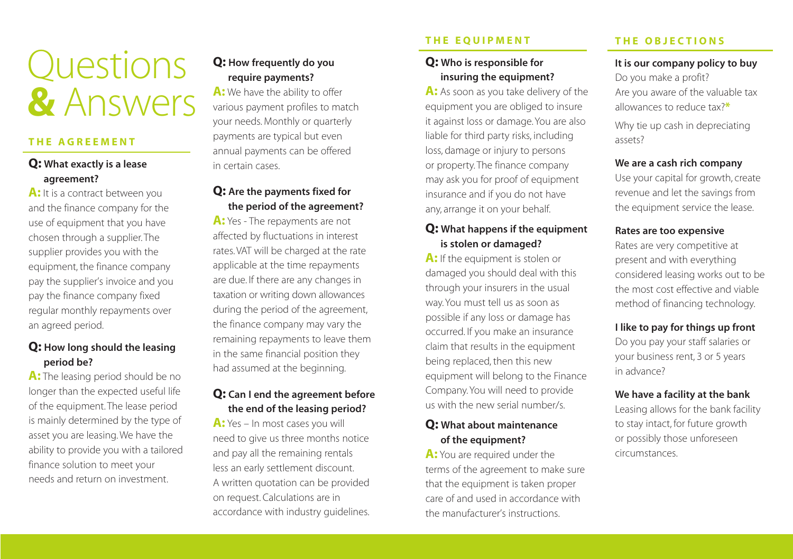## Questions **&** Answers

#### **T H E A G R E E M E N T**

#### **Q: What exactly is a lease agreement?**

**A:** It is a contract between you and the finance company for the use of equipment that you have chosen through a supplier. The supplier provides you with the equipment, the finance company pay the supplier's invoice and you pay the finance company fixed regular monthly repayments over an agreed period.

#### **Q: How long should the leasing period be?**

A: The leasing period should be no longer than the expected useful life of the equipment. The lease period is mainly determined by the type of asset you are leasing. We have the ability to provide you with a tailored finance solution to meet your needs and return on investment.

#### **Q: How frequently do you require payments?**

A: We have the ability to offer various payment profiles to match your needs. Monthly or quarterly payments are typical but even annual payments can be offered in certain cases.

#### **Q: Are the payments fixed for the period of the agreement?**

**A:** Yes - The repayments are not affected by fluctuations in interest rates. VAT will be charged at the rate applicable at the time repayments are due. If there are any changes in taxation or writing down allowances during the period of the agreement, the finance company may vary the remaining repayments to leave them in the same financial position they had assumed at the beginning.

#### **Q: Can I end the agreement before the end of the leasing period?**

**A:** Yes – In most cases you will need to give us three months notice and pay all the remaining rentals less an early settlement discount. A written quotation can be provided on request. Calculations are in accordance with industry guidelines.

#### **THE EOUIPMENT**

#### **Q: Who is responsible for insuring the equipment?**

A: As soon as you take delivery of the equipment you are obliged to insure it against loss or damage. You are also liable for third party risks, including loss, damage or injury to persons or property. The finance company may ask you for proof of equipment insurance and if you do not have any, arrange it on your behalf.

#### **Q: What happens if the equipment is stolen or damaged?**

**A:** If the equipment is stolen or damaged you should deal with this through your insurers in the usual way. You must tell us as soon as possible if any loss or damage has occurred. If you make an insurance claim that results in the equipment being replaced, then this new equipment will belong to the Finance Company. You will need to provide us with the new serial number/s.

#### **Q: What about maintenance of the equipment?**

**A:** You are required under the terms of the agreement to make sure that the equipment is taken proper care of and used in accordance with the manufacturer's instructions.

#### **T H E O B J E C T I O N S**

**It is our company policy to buy** Do you make a profit? Are you aware of the valuable tax allowances to reduce tax?**\*** Why tie up cash in depreciating

assets?

#### **We are a cash rich company**

Use your capital for growth, create revenue and let the savings from the equipment service the lease.

#### **Rates are too expensive**

Rates are very competitive at present and with everything considered leasing works out to be the most cost effective and viable method of financing technology.

#### **I like to pay for things up front**

Do you pay your staff salaries or your business rent, 3 or 5 years in advance?

#### **We have a facility at the bank**

Leasing allows for the bank facility to stay intact, for future growth or possibly those unforeseen circumstances.